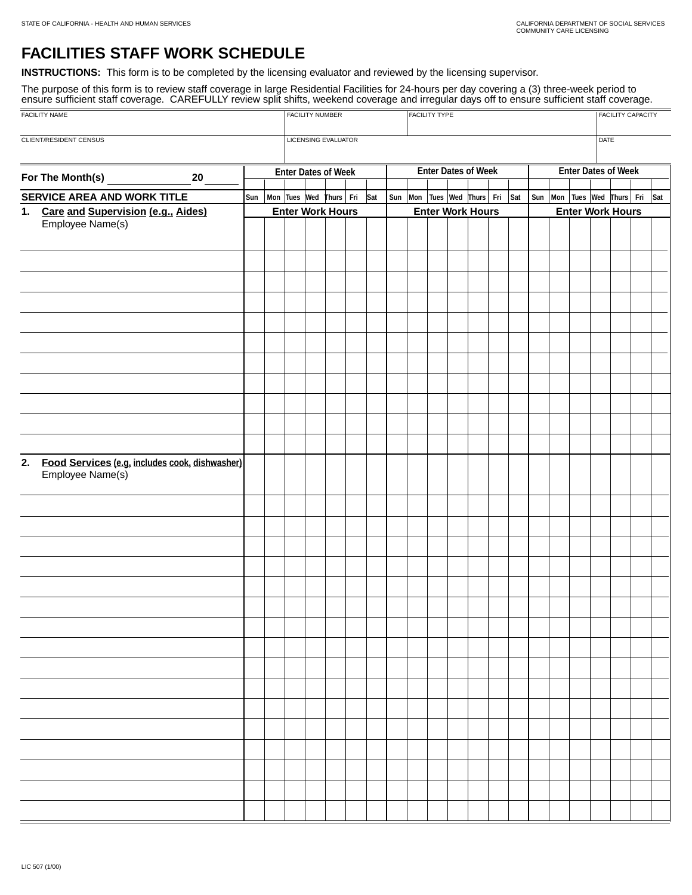## **FACILITIES STAFF WORK SCHEDULE**

**INSTRUCTIONS:** This form is to be completed by the licensing evaluator and reviewed by the licensing supervisor.

The purpose of this form is to review staff coverage in large Residential Facilities for 24-hours per day covering a (3) three-week period to ensure sufficient staff coverage. CAREFULLY review split shifts, weekend coverage and irregular days off to ensure sufficient staff coverage.

| FACILITY NAME                                             |  |  |                            | <b>FACILITY NUMBER</b> |                                            |  |  |                            |  |                                            | <b>FACILITY TYPE</b> |  | <b>FACILITY CAPACITY</b> |                            |  |  |                                |  |             |  |  |  |  |
|-----------------------------------------------------------|--|--|----------------------------|------------------------|--------------------------------------------|--|--|----------------------------|--|--------------------------------------------|----------------------|--|--------------------------|----------------------------|--|--|--------------------------------|--|-------------|--|--|--|--|
| <b>CLIENT/RESIDENT CENSUS</b>                             |  |  |                            |                        | <b>LICENSING EVALUATOR</b>                 |  |  |                            |  |                                            |                      |  |                          |                            |  |  |                                |  | <b>DATE</b> |  |  |  |  |
| For The Month(s)<br>20                                    |  |  | <b>Enter Dates of Week</b> |                        |                                            |  |  | <b>Enter Dates of Week</b> |  |                                            |                      |  |                          | <b>Enter Dates of Week</b> |  |  |                                |  |             |  |  |  |  |
| <b>SERVICE AREA AND WORK TITLE</b>                        |  |  |                            |                        | Sun   Mon   Tues   Wed   Thurs   Fri   Sat |  |  |                            |  | Sun   Mon   Tues   Wed   Thurs   Fri   Sat |                      |  |                          |                            |  |  | Sun Mon Tues Wed Thurs Fri Sat |  |             |  |  |  |  |
| 1. Care and Supervision (e.g., Aides)<br>Employee Name(s) |  |  |                            |                        | <b>Enter Work Hours</b>                    |  |  |                            |  | <b>Enter Work Hours</b>                    |                      |  |                          |                            |  |  | <b>Enter Work Hours</b>        |  |             |  |  |  |  |
|                                                           |  |  |                            |                        |                                            |  |  |                            |  |                                            |                      |  |                          |                            |  |  |                                |  |             |  |  |  |  |
|                                                           |  |  |                            |                        |                                            |  |  |                            |  |                                            |                      |  |                          |                            |  |  |                                |  |             |  |  |  |  |
|                                                           |  |  |                            |                        |                                            |  |  |                            |  |                                            |                      |  |                          |                            |  |  |                                |  |             |  |  |  |  |
| Food Services (e.g. includes cook, dishwasher)<br>2.      |  |  |                            |                        |                                            |  |  |                            |  |                                            |                      |  |                          |                            |  |  |                                |  |             |  |  |  |  |
| Employee Name(s)                                          |  |  |                            |                        |                                            |  |  |                            |  |                                            |                      |  |                          |                            |  |  |                                |  |             |  |  |  |  |
|                                                           |  |  |                            |                        |                                            |  |  |                            |  |                                            |                      |  |                          |                            |  |  |                                |  |             |  |  |  |  |
|                                                           |  |  |                            |                        |                                            |  |  |                            |  |                                            |                      |  |                          |                            |  |  |                                |  |             |  |  |  |  |
|                                                           |  |  |                            |                        |                                            |  |  |                            |  |                                            |                      |  |                          |                            |  |  |                                |  |             |  |  |  |  |
|                                                           |  |  |                            |                        |                                            |  |  |                            |  |                                            |                      |  |                          |                            |  |  |                                |  |             |  |  |  |  |
|                                                           |  |  |                            |                        |                                            |  |  |                            |  |                                            |                      |  |                          |                            |  |  |                                |  |             |  |  |  |  |
|                                                           |  |  |                            |                        |                                            |  |  |                            |  |                                            |                      |  |                          |                            |  |  |                                |  |             |  |  |  |  |
|                                                           |  |  |                            |                        |                                            |  |  |                            |  |                                            |                      |  |                          |                            |  |  |                                |  |             |  |  |  |  |
| <b>Contract Contract Contract</b>                         |  |  |                            |                        |                                            |  |  |                            |  |                                            |                      |  |                          |                            |  |  |                                |  |             |  |  |  |  |